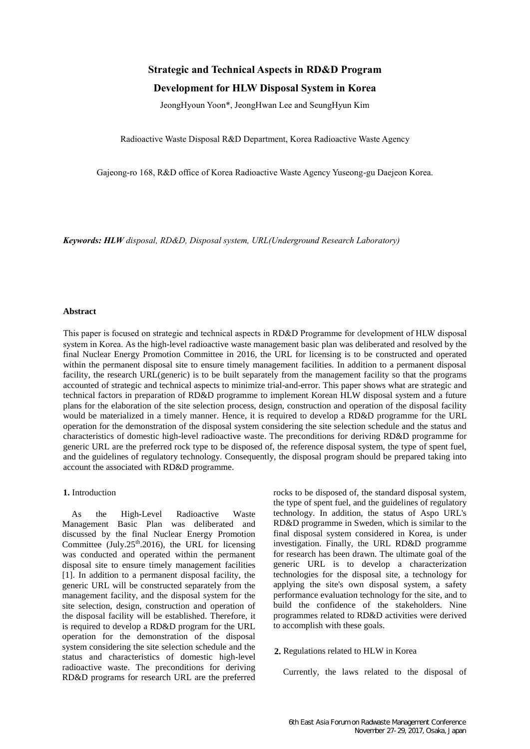# **Strategic and Technical Aspects in RD&D Program**

# **Development for HLW Disposal System in Korea**

JeongHyoun Yoon\*, JeongHwan Lee and SeungHyun Kim

Radioactive Waste Disposal R&D Department, Korea Radioactive Waste Agency

Gajeong-ro 168, R&D office of Korea Radioactive Waste Agency Yuseong-gu Daejeon Korea.

*Keywords: HLW disposal, RD&D, Disposal system, URL(Underground Research Laboratory)*

## **Abstract**

This paper is focused on strategic and technical aspects in RD&D Programme for development of HLW disposal system in Korea. As the high-level radioactive waste management basic plan was deliberated and resolved by the final Nuclear Energy Promotion Committee in 2016, the URL for licensing is to be constructed and operated within the permanent disposal site to ensure timely management facilities. In addition to a permanent disposal facility, the research URL(generic) is to be built separately from the management facility so that the programs accounted of strategic and technical aspects to minimize trial-and-error. This paper shows what are strategic and technical factors in preparation of RD&D programme to implement Korean HLW disposal system and a future plans for the elaboration of the site selection process, design, construction and operation of the disposal facility would be materialized in a timely manner. Hence, it is required to develop a RD&D programme for the URL operation for the demonstration of the disposal system considering the site selection schedule and the status and characteristics of domestic high-level radioactive waste. The preconditions for deriving RD&D programme for generic URL are the preferred rock type to be disposed of, the reference disposal system, the type of spent fuel, and the guidelines of regulatory technology. Consequently, the disposal program should be prepared taking into account the associated with RD&D programme.

# **1.** Introduction

As the High-Level Radioactive Waste Management Basic Plan was deliberated and discussed by the final Nuclear Energy Promotion Committee (July.25<sup>th</sup>.2016), the URL for licensing was conducted and operated within the permanent disposal site to ensure timely management facilities [1]. In addition to a permanent disposal facility, the generic URL will be constructed separately from the management facility, and the disposal system for the site selection, design, construction and operation of the disposal facility will be established. Therefore, it is required to develop a RD&D program for the URL operation for the demonstration of the disposal system considering the site selection schedule and the status and characteristics of domestic high-level radioactive waste. The preconditions for deriving RD&D programs for research URL are the preferred

rocks to be disposed of, the standard disposal system, the type of spent fuel, and the guidelines of regulatory technology. In addition, the status of Aspo URL's RD&D programme in Sweden, which is similar to the final disposal system considered in Korea, is under investigation. Finally, the URL RD&D programme for research has been drawn. The ultimate goal of the generic URL is to develop a characterization technologies for the disposal site, a technology for applying the site's own disposal system, a safety performance evaluation technology for the site, and to build the confidence of the stakeholders. Nine programmes related to RD&D activities were derived to accomplish with these goals.

### **2.** Regulations related to HLW in Korea

Currently, the laws related to the disposal of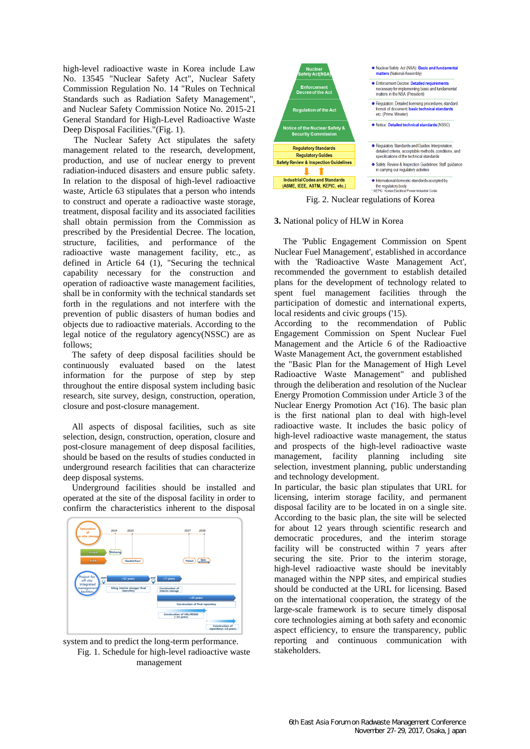high-level radioactive waste in Korea include Law No. 13545 "Nuclear Safety Act", Nuclear Safety Commission Regulation No. 14 "Rules on Technical Standards such as Radiation Safety Management", and Nuclear Safety Commission Notice No. 2015-21 General Standard for High-Level Radioactive Waste Deep Disposal Facilities."(Fig. 1).

The Nuclear Safety Act stipulates the safety management related to the research, development, production, and use of nuclear energy to prevent radiation-induced disasters and ensure public safety. In relation to the disposal of high-level radioactive waste, Article 63 stipulates that a person who intends to construct and operate a radioactive waste storage, treatment, disposal facility and its associated facilities shall obtain permission from the Commission as prescribed by the Presidential Decree. The location, structure, facilities, and performance of the radioactive waste management facility, etc., as defined in Article 64 (1), "Securing the technical capability necessary for the construction and operation of radioactive waste management facilities, shall be in conformity with the technical standards set forth in the regulations and not interfere with the prevention of public disasters of human bodies and objects due to radioactive materials. According to the legal notice of the regulatory agency(NSSC) are as follows;

The safety of deep disposal facilities should be continuously evaluated based on the latest information for the purpose of step by step throughout the entire disposal system including basic research, site survey, design, construction, operation, closure and post-closure management.

All aspects of disposal facilities, such as site selection, design, construction, operation, closure and post-closure management of deep disposal facilities, should be based on the results of studies conducted in underground research facilities that can characterize deep disposal systems.

Underground facilities should be installed and operated at the site of the disposal facility in order to confirm the characteristics inherent to the disposal



system and to predict the long-term performance. Fig. 1. Schedule for high-level radioactive waste management



Fig. 2. Nuclear regulations of Korea

#### **3.** National policy of HLW in Korea

The 'Public Engagement Commission on Spent Nuclear Fuel Management', established in accordance with the 'Radioactive Waste Management Act', recommended the government to establish detailed plans for the development of technology related to spent fuel management facilities through the participation of domestic and international experts, local residents and civic groups ('15).

According to the recommendation of Public Engagement Commission on Spent Nuclear Fuel Management and the Article 6 of the Radioactive Waste Management Act, the government established the "Basic Plan for the Management of High Level Radioactive Waste Management" and published through the deliberation and resolution of the Nuclear Energy Promotion Commission under Article 3 of the Nuclear Energy Promotion Act ('16). The basic plan is the first national plan to deal with high-level radioactive waste. It includes the basic policy of high-level radioactive waste management, the status and prospects of the high-level radioactive waste management, facility planning including site selection, investment planning, public understanding and technology development.

In particular, the basic plan stipulates that URL for licensing, interim storage facility, and permanent disposal facility are to be located in on a single site. According to the basic plan, the site will be selected for about 12 years through scientific research and democratic procedures, and the interim storage facility will be constructed within 7 years after securing the site. Prior to the interim storage, high-level radioactive waste should be inevitably managed within the NPP sites, and empirical studies should be conducted at the URL for licensing. Based on the international cooperation, the strategy of the large-scale framework is to secure timely disposal core technologies aiming at both safety and economic aspect efficiency, to ensure the transparency, public reporting and continuous communication with stakeholders.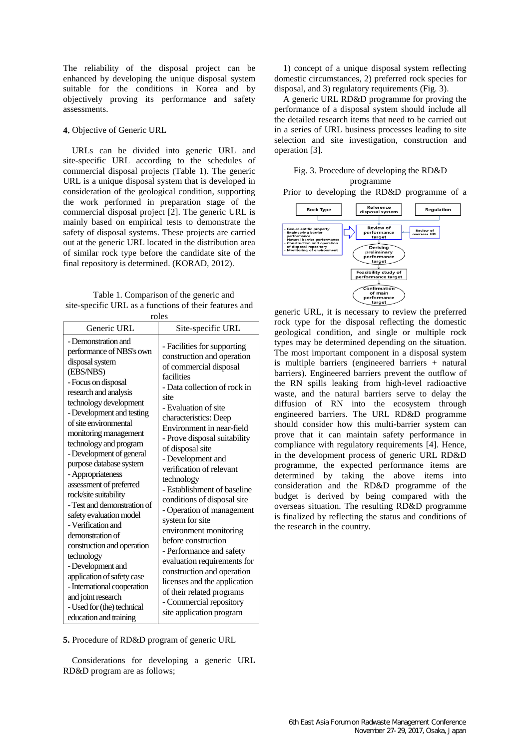The reliability of the disposal project can be enhanced by developing the unique disposal system suitable for the conditions in Korea and by objectively proving its performance and safety assessments.

# **4.** Objective of Generic URL

URLs can be divided into generic URL and site-specific URL according to the schedules of commercial disposal projects (Table 1). The generic URL is a unique disposal system that is developed in consideration of the geological condition, supporting the work performed in preparation stage of the commercial disposal project [2]. The generic URL is mainly based on empirical tests to demonstrate the safety of disposal systems. These projects are carried out at the generic URL located in the distribution area of similar rock type before the candidate site of the final repository is determined. (KORAD, 2012).

Table 1. Comparison of the generic and site-specific URL as a functions of their features and roles

| TOIES                                                                                                                                                                                                                                                                                                                                                                                                                                                                                                                                                                                                                                                                                    |                                                                                                                                                                                                                                                                                                                                                                                                                                                                                                                                                                                                                                                                                            |  |
|------------------------------------------------------------------------------------------------------------------------------------------------------------------------------------------------------------------------------------------------------------------------------------------------------------------------------------------------------------------------------------------------------------------------------------------------------------------------------------------------------------------------------------------------------------------------------------------------------------------------------------------------------------------------------------------|--------------------------------------------------------------------------------------------------------------------------------------------------------------------------------------------------------------------------------------------------------------------------------------------------------------------------------------------------------------------------------------------------------------------------------------------------------------------------------------------------------------------------------------------------------------------------------------------------------------------------------------------------------------------------------------------|--|
| Generic URL                                                                                                                                                                                                                                                                                                                                                                                                                                                                                                                                                                                                                                                                              | Site-specific URL                                                                                                                                                                                                                                                                                                                                                                                                                                                                                                                                                                                                                                                                          |  |
| - Demonstration and<br>performance of NBS's own<br>disposal system<br>(EBS/NBS)<br>- Focus on disposal<br>research and analysis<br>technology development<br>- Development and testing<br>of site environmental<br>monitoring management<br>technology and program<br>- Development of general<br>purpose database system<br>- Appropriateness<br>assessment of preferred<br>rock/site suitability<br>- Test and demonstration of<br>safety evaluation model<br>- Verification and<br>demonstration of<br>construction and operation<br>technology<br>- Development and<br>application of safety case<br>- International cooperation<br>and joint research<br>- Used for (the) technical | - Facilities for supporting<br>construction and operation<br>of commercial disposal<br>facilities<br>- Data collection of rock in<br>site<br>- Evaluation of site<br>characteristics: Deep<br>Environment in near-field<br>- Prove disposal suitability<br>of disposal site<br>- Development and<br>verification of relevant<br>technology<br>- Establishment of baseline<br>conditions of disposal site<br>- Operation of management<br>system for site<br>environment monitoring<br>before construction<br>- Performance and safety<br>evaluation requirements for<br>construction and operation<br>licenses and the application<br>of their related programs<br>- Commercial repository |  |
| education and training                                                                                                                                                                                                                                                                                                                                                                                                                                                                                                                                                                                                                                                                   | site application program                                                                                                                                                                                                                                                                                                                                                                                                                                                                                                                                                                                                                                                                   |  |

**5.** Procedure of RD&D program of generic URL

Considerations for developing a generic URL RD&D program are as follows;

1) concept of a unique disposal system reflecting domestic circumstances, 2) preferred rock species for disposal, and 3) regulatory requirements (Fig. 3).

A generic URL RD&D programme for proving the performance of a disposal system should include all the detailed research items that need to be carried out in a series of URL business processes leading to site selection and site investigation, construction and operation [3].

# Fig. 3. Procedure of developing the RD&D programme

Prior to developing the RD&D programme of a



generic URL, it is necessary to review the preferred rock type for the disposal reflecting the domestic geological condition, and single or multiple rock types may be determined depending on the situation. The most important component in a disposal system is multiple barriers (engineered barriers + natural barriers). Engineered barriers prevent the outflow of the RN spills leaking from high-level radioactive waste, and the natural barriers serve to delay the diffusion of RN into the ecosystem through engineered barriers. The URL RD&D programme should consider how this multi-barrier system can prove that it can maintain safety performance in compliance with regulatory requirements [4]. Hence, in the development process of generic URL RD&D programme, the expected performance items are determined by taking the above items into consideration and the RD&D programme of the budget is derived by being compared with the overseas situation. The resulting RD&D programme is finalized by reflecting the status and conditions of the research in the country.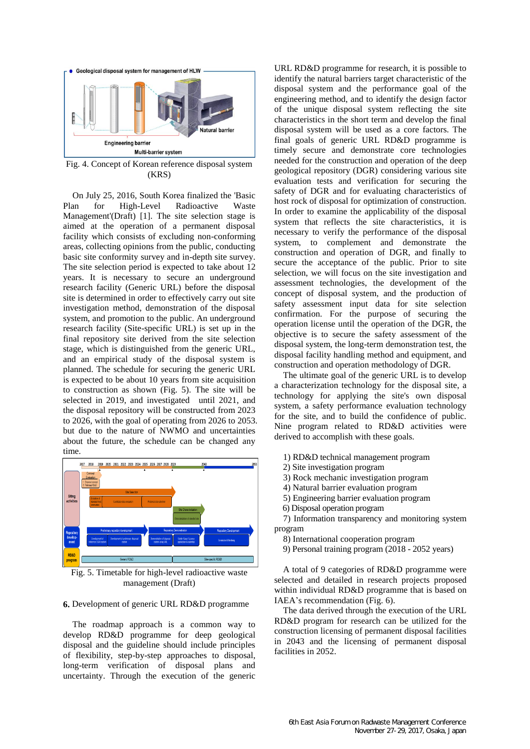

Fig. 4. Concept of Korean reference disposal system (KRS)

On July 25, 2016, South Korea finalized the 'Basic Plan for High-Level Radioactive Waste Management'(Draft) [1]. The site selection stage is aimed at the operation of a permanent disposal facility which consists of excluding non-conforming areas, collecting opinions from the public, conducting basic site conformity survey and in-depth site survey. The site selection period is expected to take about 12 years. It is necessary to secure an underground research facility (Generic URL) before the disposal site is determined in order to effectively carry out site investigation method, demonstration of the disposal system, and promotion to the public. An underground research facility (Site-specific URL) is set up in the final repository site derived from the site selection stage, which is distinguished from the generic URL, and an empirical study of the disposal system is planned. The schedule for securing the generic URL is expected to be about 10 years from site acquisition to construction as shown (Fig. 5). The site will be selected in 2019, and investigated until 2021, and the disposal repository will be constructed from 2023 to 2026, with the goal of operating from 2026 to 2053. but due to the nature of NWMO and uncertainties about the future, the schedule can be changed any time.



Fig. 5. Timetable for high-level radioactive waste management (Draft)

#### **6.** Development of generic URL RD&D programme

The roadmap approach is a common way to develop RD&D programme for deep geological disposal and the guideline should include principles of flexibility, step-by-step approaches to disposal, long-term verification of disposal plans and uncertainty. Through the execution of the generic URL RD&D programme for research, it is possible to identify the natural barriers target characteristic of the disposal system and the performance goal of the engineering method, and to identify the design factor of the unique disposal system reflecting the site characteristics in the short term and develop the final disposal system will be used as a core factors. The final goals of generic URL RD&D programme is timely secure and demonstrate core technologies needed for the construction and operation of the deep geological repository (DGR) considering various site evaluation tests and verification for securing the safety of DGR and for evaluating characteristics of host rock of disposal for optimization of construction. In order to examine the applicability of the disposal system that reflects the site characteristics, it is necessary to verify the performance of the disposal system, to complement and demonstrate the construction and operation of DGR, and finally to secure the acceptance of the public. Prior to site selection, we will focus on the site investigation and assessment technologies, the development of the concept of disposal system, and the production of safety assessment input data for site selection confirmation. For the purpose of securing the operation license until the operation of the DGR, the objective is to secure the safety assessment of the disposal system, the long-term demonstration test, the disposal facility handling method and equipment, and construction and operation methodology of DGR.

The ultimate goal of the generic URL is to develop a characterization technology for the disposal site, a technology for applying the site's own disposal system, a safety performance evaluation technology for the site, and to build the confidence of public. Nine program related to RD&D activities were derived to accomplish with these goals.

- 1) RD&D technical management program
- 2) Site investigation program
- 3) Rock mechanic investigation program
- 4) Natural barrier evaluation program
- 5) Engineering barrier evaluation program
- 6) Disposal operation program

7) Information transparency and monitoring system program

8) International cooperation program

9) Personal training program (2018 - 2052 years)

A total of 9 categories of RD&D programme were selected and detailed in research projects proposed within individual RD&D programme that is based on IAEA's recommendation (Fig. 6).

The data derived through the execution of the URL RD&D program for research can be utilized for the construction licensing of permanent disposal facilities in 2043 and the licensing of permanent disposal facilities in 2052.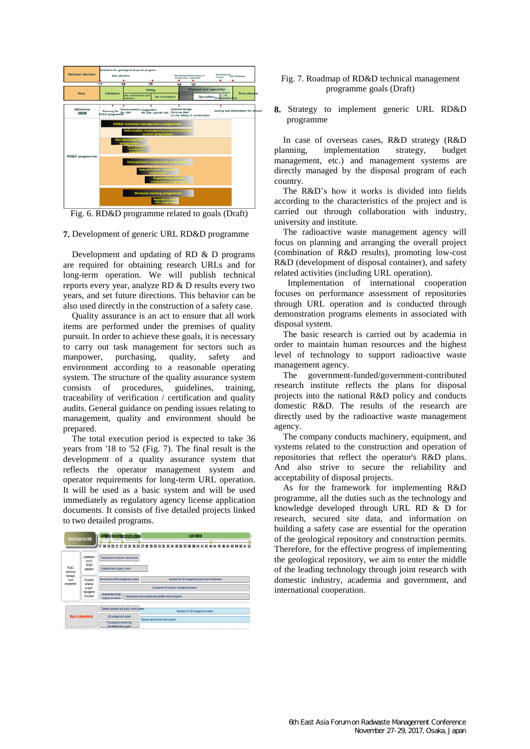

Fig. 6. RD&D programme related to goals (Draft)

### **7.** Development of generic URL RD&D programme

Development and updating of RD & D programs are required for obtaining research URLs and for long-term operation. We will publish technical reports every year, analyze RD & D results every two years, and set future directions. This behavior can be also used directly in the construction of a safety case.

Quality assurance is an act to ensure that all work items are performed under the premises of quality pursuit. In order to achieve these goals, it is necessary to carry out task management for sectors such as<br>manpower, purchasing, quality, safety and manpower, purchasing, quality, safety and environment according to a reasonable operating system. The structure of the quality assurance system consists of procedures, guidelines, training, traceability of verification / certification and quality audits. General guidance on pending issues relating to management, quality and environment should be prepared.

The total execution period is expected to take 36 years from '18 to '52 (Fig. 7). The final result is the development of a quality assurance system that reflects the operator management system and operator requirements for long-term URL operation. It will be used as a basic system and will be used immediately as regulatory agency license application documents. It consists of five detailed projects linked to two detailed programs.

| <b>Operation for URL</b>     |                                                      | sitiBite investigatonstruction<br>operation                                                                 |  |
|------------------------------|------------------------------------------------------|-------------------------------------------------------------------------------------------------------------|--|
|                              |                                                      | 17 18 19 20 21 22 23 24 25 26 27 28 29 30 31 32 33 34 35 36 37 38 39 40 41 42 43 44 45 46 47 48 49 50 51 52 |  |
| RD&D<br>technical            | Establishm<br>ent of<br><b>RD&amp;D</b><br>operation | Development of operator requirements<br>Establishment of quality control                                    |  |
| manage-<br>ment<br>programme | Establish<br>detailed                                | Development of DB management system<br>Operation for DB management system and maintenance                   |  |
|                              | project                                              | Development of long-term management system                                                                  |  |
|                              | manageme<br>nt system                                | Development of test<br>Development of procedures and operation of test programs<br>program procedure        |  |
|                              |                                                      |                                                                                                             |  |
| <b>Major achievements</b>    |                                                      | Operator operation and quality control system<br>Operation for DB management system                         |  |
|                              |                                                      | DB management system<br>Operate equipment and test program                                                  |  |
|                              |                                                      | Procedures for performing<br>the detailed test program.                                                     |  |

# Fig. 7. Roadmap of RD&D technical management programme goals (Draft)

**8.** Strategy to implement generic URL RD&D programme

In case of overseas cases, R&D strategy (R&D planning, implementation strategy, budget management, etc.) and management systems are directly managed by the disposal program of each country.

The R&D's how it works is divided into fields according to the characteristics of the project and is carried out through collaboration with industry, university and institute.

The radioactive waste management agency will focus on planning and arranging the overall project (combination of R&D results), promoting low-cost R&D (development of disposal container), and safety related activities (including URL operation).

Implementation of international cooperation focuses on performance assessment of repositories through URL operation and is conducted through demonstration programs elements in associated with disposal system.

The basic research is carried out by academia in order to maintain human resources and the highest level of technology to support radioactive waste management agency.

The government-funded/government-contributed research institute reflects the plans for disposal projects into the national R&D policy and conducts domestic R&D. The results of the research are directly used by the radioactive waste management agency.

The company conducts machinery, equipment, and systems related to the construction and operation of repositories that reflect the operator's R&D plans. And also strive to secure the reliability and acceptability of disposal projects.

As for the framework for implementing R&D programme, all the duties such as the technology and knowledge developed through URL RD & D for research, secured site data, and information on building a safety case are essential for the operation of the geological repository and construction permits. Therefore, for the effective progress of implementing the geological repository, we aim to enter the middle of the leading technology through joint research with domestic industry, academia and government, and international cooperation.